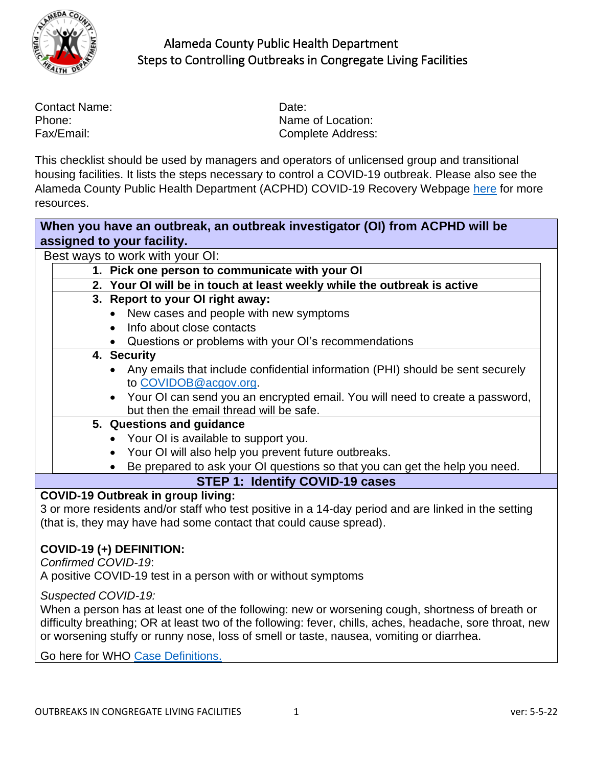

| Contact Name: | Date: |
|---------------|-------|
| Phone:        | Name  |
| Fax/Email:    | Comp  |

Name of Location: Complete Address:

This checklist should be used by managers and operators of unlicensed group and transitional housing facilities. It lists the steps necessary to control a COVID-19 outbreak. Please also see the Alameda County Public Health Department (ACPHD) [COVID-19 Recovery Webpage](https://covid-19.acgov.org/recovery.page?) [here](https://covid-19.acgov.org/recovery.page) for more resources.

| When you have an outbreak, an outbreak investigator (OI) from ACPHD will be |  |                                                                                                     |  |
|-----------------------------------------------------------------------------|--|-----------------------------------------------------------------------------------------------------|--|
|                                                                             |  | assigned to your facility.                                                                          |  |
|                                                                             |  | Best ways to work with your OI:                                                                     |  |
|                                                                             |  | 1. Pick one person to communicate with your OI                                                      |  |
|                                                                             |  | 2. Your OI will be in touch at least weekly while the outbreak is active                            |  |
|                                                                             |  | 3. Report to your OI right away:                                                                    |  |
|                                                                             |  | New cases and people with new symptoms                                                              |  |
|                                                                             |  | Info about close contacts                                                                           |  |
|                                                                             |  | Questions or problems with your OI's recommendations                                                |  |
|                                                                             |  | 4. Security                                                                                         |  |
|                                                                             |  | • Any emails that include confidential information (PHI) should be sent securely                    |  |
|                                                                             |  | to COVIDOB@acgov.org.                                                                               |  |
|                                                                             |  | • Your OI can send you an encrypted email. You will need to create a password,                      |  |
|                                                                             |  | but then the email thread will be safe.                                                             |  |
|                                                                             |  | 5. Questions and guidance                                                                           |  |
|                                                                             |  | • Your OI is available to support you.                                                              |  |
|                                                                             |  | • Your OI will also help you prevent future outbreaks.                                              |  |
|                                                                             |  | Be prepared to ask your OI questions so that you can get the help you need.                         |  |
|                                                                             |  | <b>STEP 1: Identify COVID-19 cases</b>                                                              |  |
|                                                                             |  | <b>COVID-19 Outbreak in group living:</b>                                                           |  |
|                                                                             |  | 3 or more residents and/or staff who test positive in a 14-day period and are linked in the setting |  |
|                                                                             |  | (that is, they may have had some contact that could cause spread).                                  |  |
|                                                                             |  |                                                                                                     |  |

#### **COVID-19 (+) DEFINITION:**

*Confirmed COVID-19*:

A positive COVID-19 test in a person with or without symptoms

*Suspected COVID-19:* 

When a person has at least one of the following: new or worsening cough, shortness of breath or difficulty breathing; OR at least two of the following: fever, chills, aches, headache, sore throat, new or worsening stuffy or runny nose, loss of smell or taste, nausea, vomiting or diarrhea.

Go here for WHO [Case Definitions.](https://apps.who.int/iris/rest/bitstreams/1322790/retrieve)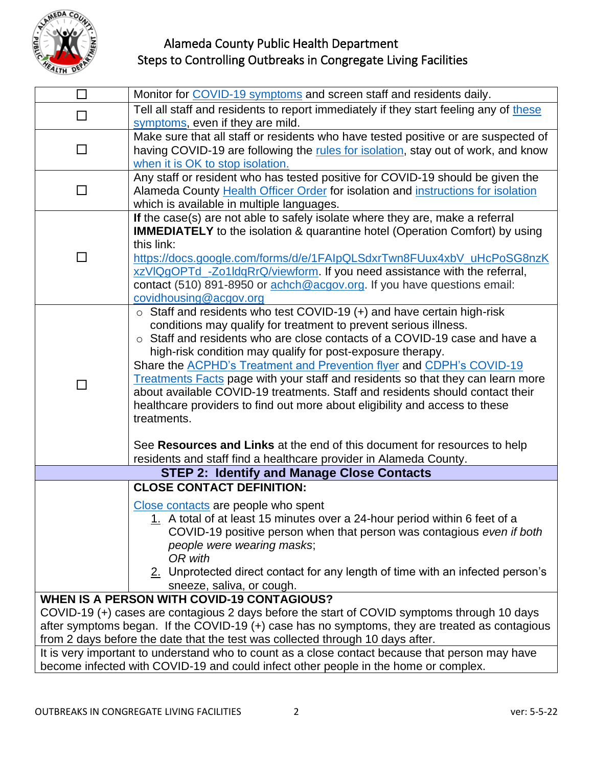

| П      | Monitor for COVID-19 symptoms and screen staff and residents daily.                                                                                                                                                                                                                                                                                                                                                                                                                                                                                                                                                                                                                                                                                                                             |
|--------|-------------------------------------------------------------------------------------------------------------------------------------------------------------------------------------------------------------------------------------------------------------------------------------------------------------------------------------------------------------------------------------------------------------------------------------------------------------------------------------------------------------------------------------------------------------------------------------------------------------------------------------------------------------------------------------------------------------------------------------------------------------------------------------------------|
| $\Box$ | Tell all staff and residents to report immediately if they start feeling any of these<br>symptoms, even if they are mild.                                                                                                                                                                                                                                                                                                                                                                                                                                                                                                                                                                                                                                                                       |
| □      | Make sure that all staff or residents who have tested positive or are suspected of<br>having COVID-19 are following the rules for isolation, stay out of work, and know<br>when it is OK to stop isolation.                                                                                                                                                                                                                                                                                                                                                                                                                                                                                                                                                                                     |
| $\Box$ | Any staff or resident who has tested positive for COVID-19 should be given the<br>Alameda County Health Officer Order for isolation and instructions for isolation<br>which is available in multiple languages.                                                                                                                                                                                                                                                                                                                                                                                                                                                                                                                                                                                 |
| П      | If the case(s) are not able to safely isolate where they are, make a referral<br><b>IMMEDIATELY</b> to the isolation & quarantine hotel (Operation Comfort) by using<br>this link:<br>https://docs.google.com/forms/d/e/1FAIpQLSdxrTwn8FUux4xbV_uHcPoSG8nzK<br>xzVIQgOPTd_-Zo1IdqRrQ/viewform. If you need assistance with the referral,<br>contact (510) 891-8950 or achch@acgov.org. If you have questions email:<br>covidhousing@acgov.org                                                                                                                                                                                                                                                                                                                                                   |
| П      | $\circ$ Staff and residents who test COVID-19 (+) and have certain high-risk<br>conditions may qualify for treatment to prevent serious illness.<br>○ Staff and residents who are close contacts of a COVID-19 case and have a<br>high-risk condition may qualify for post-exposure therapy.<br>Share the <b>ACPHD's Treatment and Prevention flyer and CDPH's COVID-19</b><br>Treatments Facts page with your staff and residents so that they can learn more<br>about available COVID-19 treatments. Staff and residents should contact their<br>healthcare providers to find out more about eligibility and access to these<br>treatments.<br>See Resources and Links at the end of this document for resources to help<br>residents and staff find a healthcare provider in Alameda County. |
|        | <b>STEP 2: Identify and Manage Close Contacts</b>                                                                                                                                                                                                                                                                                                                                                                                                                                                                                                                                                                                                                                                                                                                                               |
|        | <b>CLOSE CONTACT DEFINITION:</b>                                                                                                                                                                                                                                                                                                                                                                                                                                                                                                                                                                                                                                                                                                                                                                |
|        | Close contacts are people who spent<br>1. A total of at least 15 minutes over a 24-hour period within 6 feet of a<br>COVID-19 positive person when that person was contagious even if both<br>people were wearing masks;<br>OR with<br>2. Unprotected direct contact for any length of time with an infected person's<br>sneeze, saliva, or cough.                                                                                                                                                                                                                                                                                                                                                                                                                                              |
|        | <b>WHEN IS A PERSON WITH COVID-19 CONTAGIOUS?</b>                                                                                                                                                                                                                                                                                                                                                                                                                                                                                                                                                                                                                                                                                                                                               |
|        | COVID-19 (+) cases are contagious 2 days before the start of COVID symptoms through 10 days                                                                                                                                                                                                                                                                                                                                                                                                                                                                                                                                                                                                                                                                                                     |
|        | after symptoms began. If the COVID-19 (+) case has no symptoms, they are treated as contagious<br>from 2 days before the date that the test was collected through 10 days after.                                                                                                                                                                                                                                                                                                                                                                                                                                                                                                                                                                                                                |
|        | It is very important to understand who to count as a close contact because that person may have                                                                                                                                                                                                                                                                                                                                                                                                                                                                                                                                                                                                                                                                                                 |
|        | become infected with COVID-19 and could infect other people in the home or complex.                                                                                                                                                                                                                                                                                                                                                                                                                                                                                                                                                                                                                                                                                                             |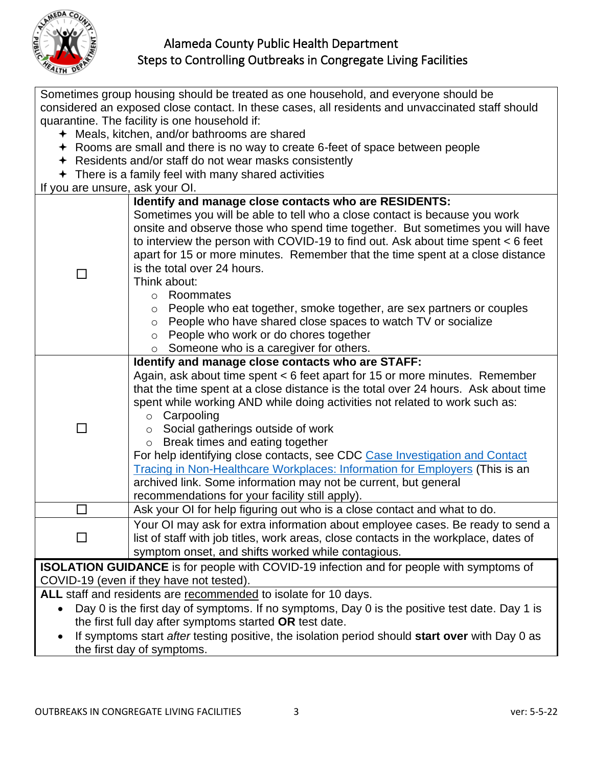

| Sometimes group housing should be treated as one household, and everyone should be               |                                                                                          |  |  |  |
|--------------------------------------------------------------------------------------------------|------------------------------------------------------------------------------------------|--|--|--|
| considered an exposed close contact. In these cases, all residents and unvaccinated staff should |                                                                                          |  |  |  |
| quarantine. The facility is one household if:                                                    |                                                                                          |  |  |  |
|                                                                                                  | ← Meals, kitchen, and/or bathrooms are shared                                            |  |  |  |
|                                                                                                  | ← Rooms are small and there is no way to create 6-feet of space between people           |  |  |  |
|                                                                                                  | + Residents and/or staff do not wear masks consistently                                  |  |  |  |
|                                                                                                  | $\div$ There is a family feel with many shared activities                                |  |  |  |
| If you are unsure, ask your OI.                                                                  |                                                                                          |  |  |  |
|                                                                                                  | Identify and manage close contacts who are RESIDENTS:                                    |  |  |  |
|                                                                                                  | Sometimes you will be able to tell who a close contact is because you work               |  |  |  |
|                                                                                                  | onsite and observe those who spend time together. But sometimes you will have            |  |  |  |
|                                                                                                  | to interview the person with COVID-19 to find out. Ask about time spent < 6 feet         |  |  |  |
|                                                                                                  | apart for 15 or more minutes. Remember that the time spent at a close distance           |  |  |  |
| П                                                                                                | is the total over 24 hours.                                                              |  |  |  |
|                                                                                                  | Think about:                                                                             |  |  |  |
|                                                                                                  | Roommates<br>$\circ$                                                                     |  |  |  |
|                                                                                                  | People who eat together, smoke together, are sex partners or couples<br>O                |  |  |  |
|                                                                                                  | People who have shared close spaces to watch TV or socialize<br>$\circ$                  |  |  |  |
|                                                                                                  | People who work or do chores together<br>$\circ$                                         |  |  |  |
|                                                                                                  | Someone who is a caregiver for others.<br>$\circ$                                        |  |  |  |
|                                                                                                  | Identify and manage close contacts who are STAFF:                                        |  |  |  |
|                                                                                                  | Again, ask about time spent < 6 feet apart for 15 or more minutes. Remember              |  |  |  |
|                                                                                                  | that the time spent at a close distance is the total over 24 hours. Ask about time       |  |  |  |
|                                                                                                  | spent while working AND while doing activities not related to work such as:              |  |  |  |
|                                                                                                  | Carpooling<br>$\circ$                                                                    |  |  |  |
| $\Box$                                                                                           | Social gatherings outside of work<br>$\circ$                                             |  |  |  |
|                                                                                                  | Break times and eating together<br>$\circ$                                               |  |  |  |
|                                                                                                  | For help identifying close contacts, see CDC Case Investigation and Contact              |  |  |  |
|                                                                                                  | Tracing in Non-Healthcare Workplaces: Information for Employers (This is an              |  |  |  |
|                                                                                                  | archived link. Some information may not be current, but general                          |  |  |  |
|                                                                                                  | recommendations for your facility still apply).                                          |  |  |  |
| $\mathcal{L}$                                                                                    | Ask your OI for help figuring out who is a close contact and what to do.                 |  |  |  |
|                                                                                                  | Your OI may ask for extra information about employee cases. Be ready to send a           |  |  |  |
|                                                                                                  | list of staff with job titles, work areas, close contacts in the workplace, dates of     |  |  |  |
|                                                                                                  | symptom onset, and shifts worked while contagious.                                       |  |  |  |
|                                                                                                  | ISOLATION GUIDANCE is for people with COVID-19 infection and for people with symptoms of |  |  |  |
|                                                                                                  | COVID-19 (even if they have not tested).                                                 |  |  |  |
|                                                                                                  | ALL staff and residents are recommended to isolate for 10 days.                          |  |  |  |
| Day 0 is the first day of symptoms. If no symptoms, Day 0 is the positive test date. Day 1 is    |                                                                                          |  |  |  |
| the first full day after symptoms started OR test date.                                          |                                                                                          |  |  |  |
|                                                                                                  |                                                                                          |  |  |  |

• If symptoms start *after* testing positive, the isolation period should **start over** with Day 0 as the first day of symptoms.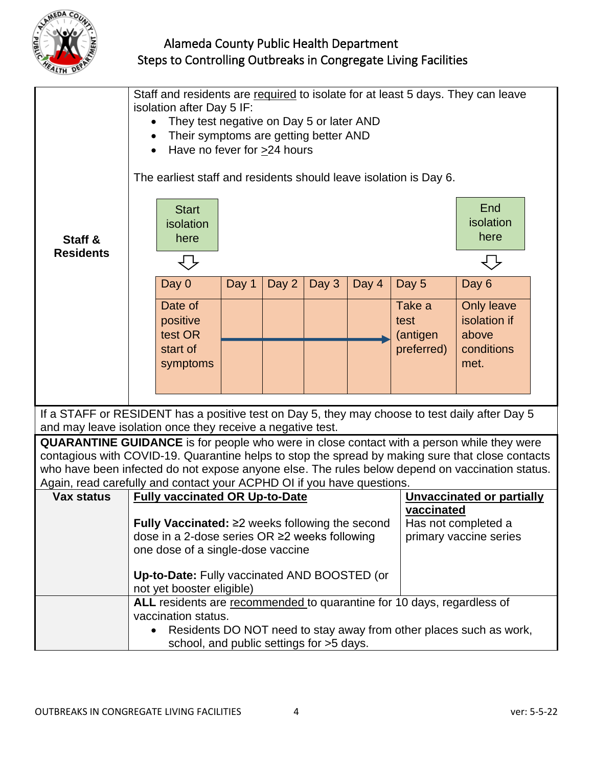

| Staff &                                                                                                                                                                                              | Staff and residents are required to isolate for at least 5 days. They can leave<br>isolation after Day 5 IF:<br>They test negative on Day 5 or later AND<br>Their symptoms are getting better AND<br>Have no fever for >24 hours<br>$\bullet$<br>The earliest staff and residents should leave isolation is Day 6.<br>End<br><b>Start</b><br>isolation<br>isolation<br>here<br>here |                                                                           |       |       |       |       |                            |                                                                    |  |
|------------------------------------------------------------------------------------------------------------------------------------------------------------------------------------------------------|-------------------------------------------------------------------------------------------------------------------------------------------------------------------------------------------------------------------------------------------------------------------------------------------------------------------------------------------------------------------------------------|---------------------------------------------------------------------------|-------|-------|-------|-------|----------------------------|--------------------------------------------------------------------|--|
| <b>Residents</b>                                                                                                                                                                                     |                                                                                                                                                                                                                                                                                                                                                                                     |                                                                           |       |       |       |       |                            | ط ہ                                                                |  |
|                                                                                                                                                                                                      |                                                                                                                                                                                                                                                                                                                                                                                     | Day 0                                                                     | Day 1 | Day 2 | Day 3 | Day 4 | Day 5                      | Day 6                                                              |  |
|                                                                                                                                                                                                      |                                                                                                                                                                                                                                                                                                                                                                                     | Date of<br>positive<br>test OR                                            |       |       |       |       | Take a<br>test<br>(antigen | <b>Only leave</b><br>isolation if<br>above                         |  |
|                                                                                                                                                                                                      |                                                                                                                                                                                                                                                                                                                                                                                     | start of<br>symptoms                                                      |       |       |       |       | preferred)                 | conditions<br>met.                                                 |  |
|                                                                                                                                                                                                      |                                                                                                                                                                                                                                                                                                                                                                                     |                                                                           |       |       |       |       |                            |                                                                    |  |
| If a STAFF or RESIDENT has a positive test on Day 5, they may choose to test daily after Day 5                                                                                                       |                                                                                                                                                                                                                                                                                                                                                                                     |                                                                           |       |       |       |       |                            |                                                                    |  |
| and may leave isolation once they receive a negative test.                                                                                                                                           |                                                                                                                                                                                                                                                                                                                                                                                     |                                                                           |       |       |       |       |                            |                                                                    |  |
| <b>QUARANTINE GUIDANCE</b> is for people who were in close contact with a person while they were<br>contagious with COVID-19. Quarantine helps to stop the spread by making sure that close contacts |                                                                                                                                                                                                                                                                                                                                                                                     |                                                                           |       |       |       |       |                            |                                                                    |  |
| who have been infected do not expose anyone else. The rules below depend on vaccination status.                                                                                                      |                                                                                                                                                                                                                                                                                                                                                                                     |                                                                           |       |       |       |       |                            |                                                                    |  |
| Again, read carefully and contact your ACPHD OI if you have questions.                                                                                                                               |                                                                                                                                                                                                                                                                                                                                                                                     |                                                                           |       |       |       |       |                            |                                                                    |  |
| <b>Vax status</b>                                                                                                                                                                                    |                                                                                                                                                                                                                                                                                                                                                                                     | <b>Fully vaccinated OR Up-to-Date</b>                                     |       |       |       |       | vaccinated                 | <b>Unvaccinated or partially</b>                                   |  |
|                                                                                                                                                                                                      | Fully Vaccinated: $\geq$ weeks following the second<br>Has not completed a<br>dose in a 2-dose series OR ≥2 weeks following<br>primary vaccine series                                                                                                                                                                                                                               |                                                                           |       |       |       |       |                            |                                                                    |  |
|                                                                                                                                                                                                      |                                                                                                                                                                                                                                                                                                                                                                                     | one dose of a single-dose vaccine                                         |       |       |       |       |                            |                                                                    |  |
|                                                                                                                                                                                                      |                                                                                                                                                                                                                                                                                                                                                                                     | Up-to-Date: Fully vaccinated AND BOOSTED (or<br>not yet booster eligible) |       |       |       |       |                            |                                                                    |  |
|                                                                                                                                                                                                      |                                                                                                                                                                                                                                                                                                                                                                                     | ALL residents are recommended to quarantine for 10 days, regardless of    |       |       |       |       |                            |                                                                    |  |
|                                                                                                                                                                                                      |                                                                                                                                                                                                                                                                                                                                                                                     | vaccination status.                                                       |       |       |       |       |                            | Residents DO NOT need to stay away from other places such as work, |  |
|                                                                                                                                                                                                      |                                                                                                                                                                                                                                                                                                                                                                                     | school, and public settings for >5 days.                                  |       |       |       |       |                            |                                                                    |  |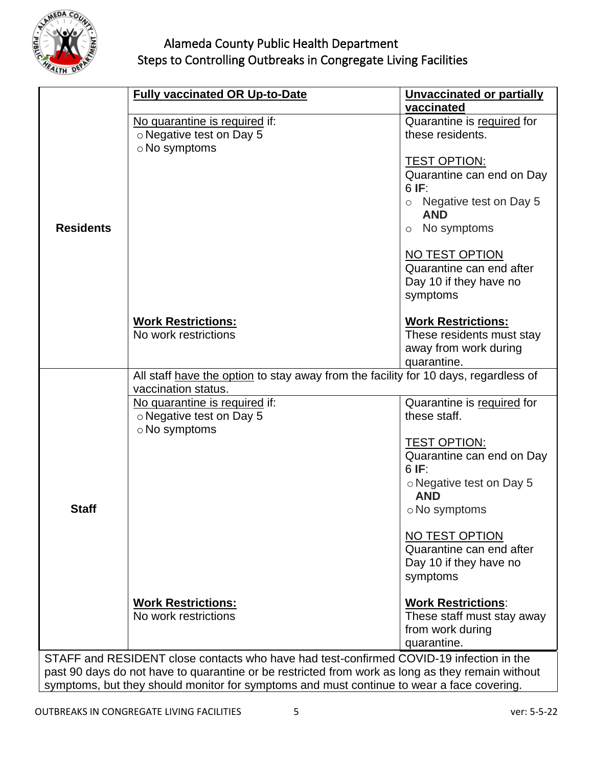

|                  | <b>Fully vaccinated OR Up-to-Date</b>                                                            | <b>Unvaccinated or partially</b> |
|------------------|--------------------------------------------------------------------------------------------------|----------------------------------|
|                  |                                                                                                  | vaccinated                       |
|                  | No quarantine is required if:                                                                    | Quarantine is required for       |
|                  | o Negative test on Day 5                                                                         | these residents.                 |
|                  | $\circ$ No symptoms                                                                              |                                  |
|                  |                                                                                                  |                                  |
|                  |                                                                                                  | <b>TEST OPTION:</b>              |
|                  |                                                                                                  | Quarantine can end on Day        |
|                  |                                                                                                  | 6IF:                             |
|                  |                                                                                                  | Negative test on Day 5           |
|                  |                                                                                                  | <b>AND</b>                       |
| <b>Residents</b> |                                                                                                  | No symptoms<br>$\circ$           |
|                  |                                                                                                  | NO TEST OPTION                   |
|                  |                                                                                                  | Quarantine can end after         |
|                  |                                                                                                  | Day 10 if they have no           |
|                  |                                                                                                  | symptoms                         |
|                  |                                                                                                  |                                  |
|                  | <b>Work Restrictions:</b>                                                                        | <b>Work Restrictions:</b>        |
|                  | No work restrictions                                                                             | These residents must stay        |
|                  |                                                                                                  | away from work during            |
|                  |                                                                                                  | quarantine.                      |
|                  | All staff have the option to stay away from the facility for 10 days, regardless of              |                                  |
|                  | vaccination status.                                                                              |                                  |
|                  | No quarantine is required if:                                                                    | Quarantine is required for       |
|                  | o Negative test on Day 5                                                                         | these staff.                     |
|                  | o No symptoms                                                                                    |                                  |
|                  |                                                                                                  | <b>TEST OPTION:</b>              |
|                  |                                                                                                  | Quarantine can end on Day        |
|                  |                                                                                                  | 6IF:                             |
|                  |                                                                                                  | ○ Negative test on Day 5         |
|                  |                                                                                                  | <b>AND</b>                       |
| <b>Staff</b>     |                                                                                                  | ○ No symptoms                    |
|                  |                                                                                                  | NO TEST OPTION                   |
|                  |                                                                                                  | Quarantine can end after         |
|                  |                                                                                                  | Day 10 if they have no           |
|                  |                                                                                                  | symptoms                         |
|                  |                                                                                                  |                                  |
|                  | <b>Work Restrictions:</b>                                                                        | <b>Work Restrictions:</b>        |
|                  | No work restrictions                                                                             | These staff must stay away       |
|                  |                                                                                                  | from work during                 |
|                  |                                                                                                  | quarantine.                      |
|                  | STAFF and RESIDENT close contacts who have had test-confirmed COVID-19 infection in the          |                                  |
|                  | past 90 days do not have to quarantine or be restricted from work as long as they remain without |                                  |
|                  | symptoms, but they should monitor for symptoms and must continue to wear a face covering.        |                                  |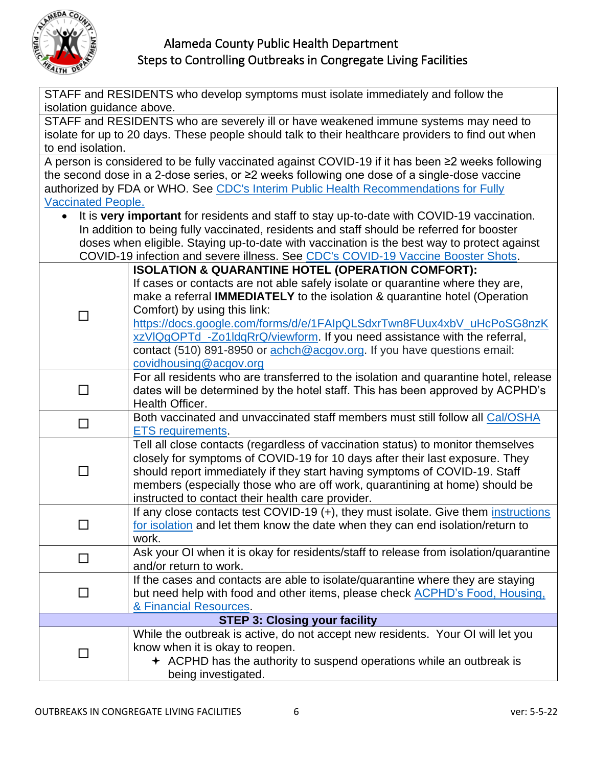

| STAFF and RESIDENTS who develop symptoms must isolate immediately and follow the |                                                                                                                                                    |  |
|----------------------------------------------------------------------------------|----------------------------------------------------------------------------------------------------------------------------------------------------|--|
| isolation guidance above.                                                        |                                                                                                                                                    |  |
|                                                                                  | STAFF and RESIDENTS who are severely ill or have weakened immune systems may need to                                                               |  |
|                                                                                  | isolate for up to 20 days. These people should talk to their healthcare providers to find out when                                                 |  |
| to end isolation.                                                                |                                                                                                                                                    |  |
|                                                                                  | A person is considered to be fully vaccinated against COVID-19 if it has been ≥2 weeks following                                                   |  |
|                                                                                  | the second dose in a 2-dose series, or ≥2 weeks following one dose of a single-dose vaccine                                                        |  |
|                                                                                  | authorized by FDA or WHO. See CDC's Interim Public Health Recommendations for Fully                                                                |  |
| <b>Vaccinated People.</b>                                                        |                                                                                                                                                    |  |
|                                                                                  | It is very important for residents and staff to stay up-to-date with COVID-19 vaccination.                                                         |  |
|                                                                                  | In addition to being fully vaccinated, residents and staff should be referred for booster                                                          |  |
|                                                                                  | doses when eligible. Staying up-to-date with vaccination is the best way to protect against                                                        |  |
|                                                                                  | COVID-19 infection and severe illness. See CDC's COVID-19 Vaccine Booster Shots.                                                                   |  |
|                                                                                  | <b>ISOLATION &amp; QUARANTINE HOTEL (OPERATION COMFORT):</b>                                                                                       |  |
|                                                                                  | If cases or contacts are not able safely isolate or quarantine where they are,                                                                     |  |
|                                                                                  | make a referral <b>IMMEDIATELY</b> to the isolation & quarantine hotel (Operation                                                                  |  |
| $\Box$                                                                           | Comfort) by using this link:                                                                                                                       |  |
|                                                                                  | https://docs.google.com/forms/d/e/1FAIpQLSdxrTwn8FUux4xbV_uHcPoSG8nzK<br>xzVIQgOPTd_-Zo1IdqRrQ/viewform. If you need assistance with the referral, |  |
|                                                                                  | contact (510) 891-8950 or achch@acgov.org. If you have questions email:                                                                            |  |
|                                                                                  | covidhousing@acgov.org                                                                                                                             |  |
|                                                                                  | For all residents who are transferred to the isolation and quarantine hotel, release                                                               |  |
| П                                                                                | dates will be determined by the hotel staff. This has been approved by ACPHD's                                                                     |  |
|                                                                                  | Health Officer.                                                                                                                                    |  |
|                                                                                  | Both vaccinated and unvaccinated staff members must still follow all Cal/OSHA                                                                      |  |
| П                                                                                | <b>ETS</b> requirements.                                                                                                                           |  |
|                                                                                  | Tell all close contacts (regardless of vaccination status) to monitor themselves                                                                   |  |
|                                                                                  | closely for symptoms of COVID-19 for 10 days after their last exposure. They                                                                       |  |
| J.                                                                               | should report immediately if they start having symptoms of COVID-19. Staff                                                                         |  |
|                                                                                  | members (especially those who are off work, quarantining at home) should be                                                                        |  |
|                                                                                  | instructed to contact their health care provider.                                                                                                  |  |
|                                                                                  | If any close contacts test COVID-19 (+), they must isolate. Give them instructions                                                                 |  |
|                                                                                  | <u>for isolation</u> and let them know the date when they can end isolation/return to                                                              |  |
|                                                                                  | work.                                                                                                                                              |  |
| $\Box$                                                                           | Ask your OI when it is okay for residents/staff to release from isolation/quarantine                                                               |  |
|                                                                                  | and/or return to work.                                                                                                                             |  |
|                                                                                  | If the cases and contacts are able to isolate/quarantine where they are staying                                                                    |  |
| □                                                                                | but need help with food and other items, please check ACPHD's Food, Housing,                                                                       |  |
|                                                                                  | & Financial Resources.                                                                                                                             |  |
|                                                                                  | <b>STEP 3: Closing your facility</b>                                                                                                               |  |
|                                                                                  | While the outbreak is active, do not accept new residents. Your OI will let you                                                                    |  |
| □                                                                                | know when it is okay to reopen.                                                                                                                    |  |
|                                                                                  | $\div$ ACPHD has the authority to suspend operations while an outbreak is                                                                          |  |
|                                                                                  | being investigated.                                                                                                                                |  |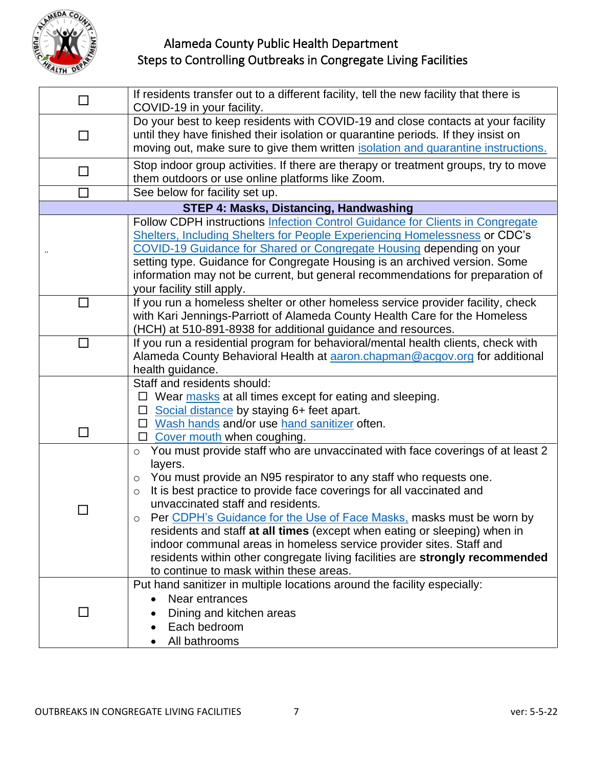

| $\Box$ | If residents transfer out to a different facility, tell the new facility that there is<br>COVID-19 in your facility.                                                                                                                                                                                                                                                                                                                                                                                                                                                                                                                                                                                                                                                                                                                                                                                   |
|--------|--------------------------------------------------------------------------------------------------------------------------------------------------------------------------------------------------------------------------------------------------------------------------------------------------------------------------------------------------------------------------------------------------------------------------------------------------------------------------------------------------------------------------------------------------------------------------------------------------------------------------------------------------------------------------------------------------------------------------------------------------------------------------------------------------------------------------------------------------------------------------------------------------------|
| П      | Do your best to keep residents with COVID-19 and close contacts at your facility<br>until they have finished their isolation or quarantine periods. If they insist on<br>moving out, make sure to give them written isolation and quarantine instructions.                                                                                                                                                                                                                                                                                                                                                                                                                                                                                                                                                                                                                                             |
| $\Box$ | Stop indoor group activities. If there are therapy or treatment groups, try to move<br>them outdoors or use online platforms like Zoom.                                                                                                                                                                                                                                                                                                                                                                                                                                                                                                                                                                                                                                                                                                                                                                |
| $\Box$ | See below for facility set up.                                                                                                                                                                                                                                                                                                                                                                                                                                                                                                                                                                                                                                                                                                                                                                                                                                                                         |
|        | <b>STEP 4: Masks, Distancing, Handwashing</b>                                                                                                                                                                                                                                                                                                                                                                                                                                                                                                                                                                                                                                                                                                                                                                                                                                                          |
|        | Follow CDPH instructions Infection Control Guidance for Clients in Congregate<br>Shelters, Including Shelters for People Experiencing Homelessness or CDC's<br>COVID-19 Guidance for Shared or Congregate Housing depending on your<br>setting type. Guidance for Congregate Housing is an archived version. Some<br>information may not be current, but general recommendations for preparation of<br>your facility still apply.                                                                                                                                                                                                                                                                                                                                                                                                                                                                      |
| □      | If you run a homeless shelter or other homeless service provider facility, check<br>with Kari Jennings-Parriott of Alameda County Health Care for the Homeless<br>(HCH) at 510-891-8938 for additional guidance and resources.                                                                                                                                                                                                                                                                                                                                                                                                                                                                                                                                                                                                                                                                         |
| П      | If you run a residential program for behavioral/mental health clients, check with<br>Alameda County Behavioral Health at aaron.chapman@acgov.org for additional<br>health guidance.                                                                                                                                                                                                                                                                                                                                                                                                                                                                                                                                                                                                                                                                                                                    |
| П      | Staff and residents should:<br>$\Box$ Wear masks at all times except for eating and sleeping.<br>Social distance by staying 6+ feet apart.<br>$\Box$ Wash hands and/or use hand sanitizer often.<br>□ Cover mouth when coughing.<br>You must provide staff who are unvaccinated with face coverings of at least 2<br>$\circ$<br>layers.<br>You must provide an N95 respirator to any staff who requests one.<br>$\circ$<br>It is best practice to provide face coverings for all vaccinated and<br>$\circ$<br>unvaccinated staff and residents.<br>Per CDPH's Guidance for the Use of Face Masks, masks must be worn by<br>residents and staff at all times (except when eating or sleeping) when in<br>indoor communal areas in homeless service provider sites. Staff and<br>residents within other congregate living facilities are strongly recommended<br>to continue to mask within these areas. |
|        | Put hand sanitizer in multiple locations around the facility especially:<br>Near entrances<br>Dining and kitchen areas<br>Each bedroom<br>All bathrooms                                                                                                                                                                                                                                                                                                                                                                                                                                                                                                                                                                                                                                                                                                                                                |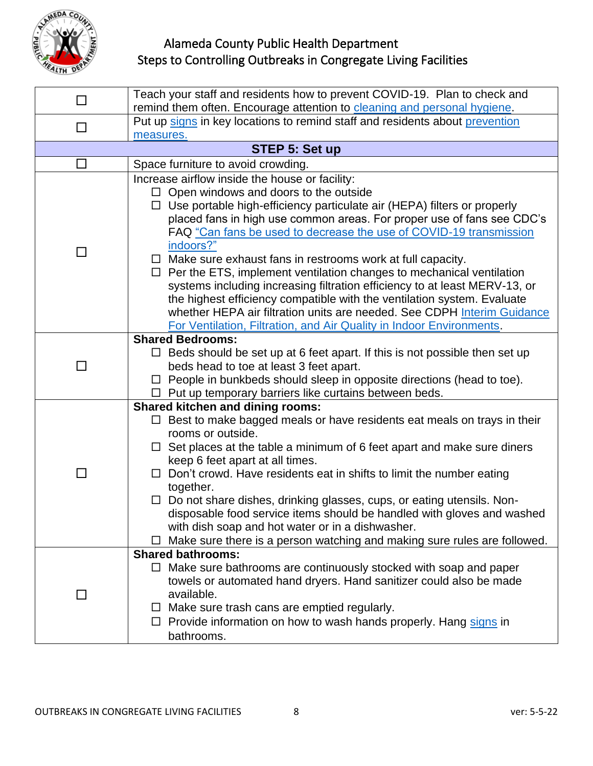

| $\Box$         | Teach your staff and residents how to prevent COVID-19. Plan to check and                                                                                                                                                                                                                                                                                                                                                                                                                                                                                                                                                                                                                                                                                                                                        |
|----------------|------------------------------------------------------------------------------------------------------------------------------------------------------------------------------------------------------------------------------------------------------------------------------------------------------------------------------------------------------------------------------------------------------------------------------------------------------------------------------------------------------------------------------------------------------------------------------------------------------------------------------------------------------------------------------------------------------------------------------------------------------------------------------------------------------------------|
|                | remind them often. Encourage attention to cleaning and personal hygiene.                                                                                                                                                                                                                                                                                                                                                                                                                                                                                                                                                                                                                                                                                                                                         |
| $\Box$         | Put up signs in key locations to remind staff and residents about prevention                                                                                                                                                                                                                                                                                                                                                                                                                                                                                                                                                                                                                                                                                                                                     |
|                | measures.                                                                                                                                                                                                                                                                                                                                                                                                                                                                                                                                                                                                                                                                                                                                                                                                        |
|                | STEP 5: Set up                                                                                                                                                                                                                                                                                                                                                                                                                                                                                                                                                                                                                                                                                                                                                                                                   |
| $\Box$         | Space furniture to avoid crowding.                                                                                                                                                                                                                                                                                                                                                                                                                                                                                                                                                                                                                                                                                                                                                                               |
| $\Box$         | Increase airflow inside the house or facility:<br>$\Box$ Open windows and doors to the outside<br>$\Box$ Use portable high-efficiency particulate air (HEPA) filters or properly<br>placed fans in high use common areas. For proper use of fans see CDC's<br>FAQ "Can fans be used to decrease the use of COVID-19 transmission<br>indoors?"<br>Make sure exhaust fans in restrooms work at full capacity.<br>$\Box$<br>$\Box$ Per the ETS, implement ventilation changes to mechanical ventilation<br>systems including increasing filtration efficiency to at least MERV-13, or<br>the highest efficiency compatible with the ventilation system. Evaluate<br>whether HEPA air filtration units are needed. See CDPH Interim Guidance<br>For Ventilation, Filtration, and Air Quality in Indoor Environments. |
|                | <b>Shared Bedrooms:</b><br>$\Box$ Beds should be set up at 6 feet apart. If this is not possible then set up<br>beds head to toe at least 3 feet apart.<br>$\Box$ People in bunkbeds should sleep in opposite directions (head to toe).<br>$\Box$ Put up temporary barriers like curtains between beds.                                                                                                                                                                                                                                                                                                                                                                                                                                                                                                          |
| H              | <b>Shared kitchen and dining rooms:</b><br>Best to make bagged meals or have residents eat meals on trays in their<br>rooms or outside.<br>$\Box$ Set places at the table a minimum of 6 feet apart and make sure diners<br>keep 6 feet apart at all times.<br>Don't crowd. Have residents eat in shifts to limit the number eating<br>together.<br>Do not share dishes, drinking glasses, cups, or eating utensils. Non-<br>disposable food service items should be handled with gloves and washed<br>with dish soap and hot water or in a dishwasher.<br>Make sure there is a person watching and making sure rules are followed.                                                                                                                                                                              |
| $\blacksquare$ | <b>Shared bathrooms:</b><br>Make sure bathrooms are continuously stocked with soap and paper<br>$\Box$<br>towels or automated hand dryers. Hand sanitizer could also be made<br>available.<br>$\Box$ Make sure trash cans are emptied regularly.<br>$\Box$ Provide information on how to wash hands properly. Hang signs in<br>bathrooms.                                                                                                                                                                                                                                                                                                                                                                                                                                                                        |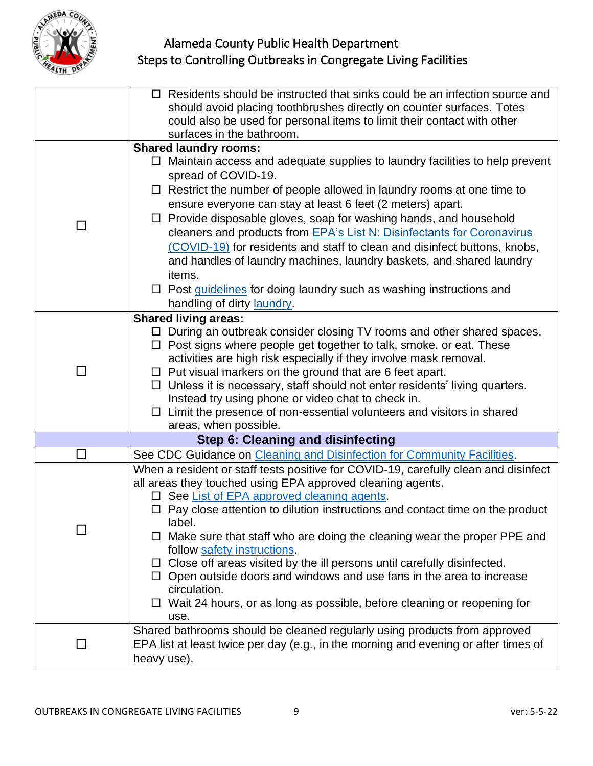

|                | $\Box$ Residents should be instructed that sinks could be an infection source and             |
|----------------|-----------------------------------------------------------------------------------------------|
|                |                                                                                               |
|                | should avoid placing toothbrushes directly on counter surfaces. Totes                         |
|                | could also be used for personal items to limit their contact with other                       |
|                | surfaces in the bathroom.                                                                     |
|                | <b>Shared laundry rooms:</b>                                                                  |
|                | Maintain access and adequate supplies to laundry facilities to help prevent                   |
|                | spread of COVID-19.                                                                           |
|                | $\Box$ Restrict the number of people allowed in laundry rooms at one time to                  |
|                | ensure everyone can stay at least 6 feet (2 meters) apart.                                    |
| $\blacksquare$ | Provide disposable gloves, soap for washing hands, and household                              |
|                | cleaners and products from EPA's List N: Disinfectants for Coronavirus                        |
|                | (COVID-19) for residents and staff to clean and disinfect buttons, knobs,                     |
|                | and handles of laundry machines, laundry baskets, and shared laundry                          |
|                | items.                                                                                        |
|                | $\Box$ Post guidelines for doing laundry such as washing instructions and                     |
|                | handling of dirty laundry.                                                                    |
|                | <b>Shared living areas:</b>                                                                   |
|                | $\Box$ During an outbreak consider closing TV rooms and other shared spaces.                  |
|                | Post signs where people get together to talk, smoke, or eat. These                            |
|                | activities are high risk especially if they involve mask removal.                             |
| П              | $\Box$ Put visual markers on the ground that are 6 feet apart.                                |
|                | □ Unless it is necessary, staff should not enter residents' living quarters.                  |
|                | Instead try using phone or video chat to check in.                                            |
|                | $\Box$ Limit the presence of non-essential volunteers and visitors in shared                  |
|                | areas, when possible.                                                                         |
|                | <b>Step 6: Cleaning and disinfecting</b>                                                      |
| $\Box$         | See CDC Guidance on Cleaning and Disinfection for Community Facilities.                       |
|                |                                                                                               |
|                | When a resident or staff tests positive for COVID-19, carefully clean and disinfect           |
|                | all areas they touched using EPA approved cleaning agents.                                    |
|                | □ See List of EPA approved cleaning agents.                                                   |
|                | $\Box$ Pay close attention to dilution instructions and contact time on the product<br>label. |
|                |                                                                                               |
|                | Make sure that staff who are doing the cleaning wear the proper PPE and                       |
|                | follow safety instructions.                                                                   |
|                | $\Box$ Close off areas visited by the ill persons until carefully disinfected.                |
|                | $\Box$ Open outside doors and windows and use fans in the area to increase<br>circulation.    |
|                |                                                                                               |
|                | $\Box$ Wait 24 hours, or as long as possible, before cleaning or reopening for                |
|                | use.                                                                                          |
|                | Shared bathrooms should be cleaned regularly using products from approved                     |
|                | EPA list at least twice per day (e.g., in the morning and evening or after times of           |
|                | heavy use).                                                                                   |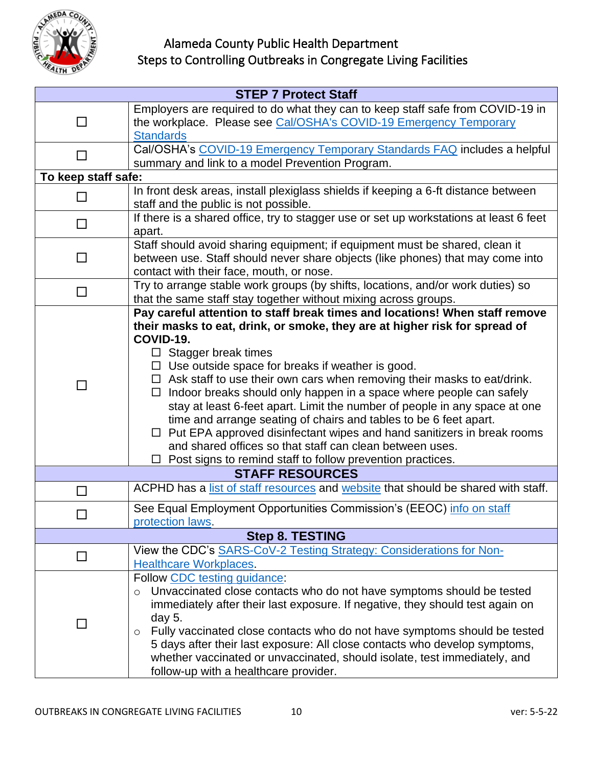

| <b>STEP 7 Protect Staff</b> |                                                                                                                                                                                                                                                                                                                                                                                                                                                                                                                                                                                                                                                                                                                                                                                                  |  |  |  |
|-----------------------------|--------------------------------------------------------------------------------------------------------------------------------------------------------------------------------------------------------------------------------------------------------------------------------------------------------------------------------------------------------------------------------------------------------------------------------------------------------------------------------------------------------------------------------------------------------------------------------------------------------------------------------------------------------------------------------------------------------------------------------------------------------------------------------------------------|--|--|--|
| $\blacksquare$              | Employers are required to do what they can to keep staff safe from COVID-19 in<br>the workplace. Please see Cal/OSHA's COVID-19 Emergency Temporary                                                                                                                                                                                                                                                                                                                                                                                                                                                                                                                                                                                                                                              |  |  |  |
|                             | <b>Standards</b>                                                                                                                                                                                                                                                                                                                                                                                                                                                                                                                                                                                                                                                                                                                                                                                 |  |  |  |
|                             | Cal/OSHA's COVID-19 Emergency Temporary Standards FAQ includes a helpful                                                                                                                                                                                                                                                                                                                                                                                                                                                                                                                                                                                                                                                                                                                         |  |  |  |
|                             | summary and link to a model Prevention Program.                                                                                                                                                                                                                                                                                                                                                                                                                                                                                                                                                                                                                                                                                                                                                  |  |  |  |
| To keep staff safe:         |                                                                                                                                                                                                                                                                                                                                                                                                                                                                                                                                                                                                                                                                                                                                                                                                  |  |  |  |
| П                           | In front desk areas, install plexiglass shields if keeping a 6-ft distance between<br>staff and the public is not possible.                                                                                                                                                                                                                                                                                                                                                                                                                                                                                                                                                                                                                                                                      |  |  |  |
| $\Box$                      | If there is a shared office, try to stagger use or set up workstations at least 6 feet<br>apart.                                                                                                                                                                                                                                                                                                                                                                                                                                                                                                                                                                                                                                                                                                 |  |  |  |
| П                           | Staff should avoid sharing equipment; if equipment must be shared, clean it<br>between use. Staff should never share objects (like phones) that may come into<br>contact with their face, mouth, or nose.                                                                                                                                                                                                                                                                                                                                                                                                                                                                                                                                                                                        |  |  |  |
| $\Box$                      | Try to arrange stable work groups (by shifts, locations, and/or work duties) so<br>that the same staff stay together without mixing across groups.                                                                                                                                                                                                                                                                                                                                                                                                                                                                                                                                                                                                                                               |  |  |  |
| П                           | Pay careful attention to staff break times and locations! When staff remove<br>their masks to eat, drink, or smoke, they are at higher risk for spread of<br>COVID-19.<br>$\Box$ Stagger break times<br>$\Box$ Use outside space for breaks if weather is good.<br>$\Box$ Ask staff to use their own cars when removing their masks to eat/drink.<br>Indoor breaks should only happen in a space where people can safely<br>$\Box$<br>stay at least 6-feet apart. Limit the number of people in any space at one<br>time and arrange seating of chairs and tables to be 6 feet apart.<br>Put EPA approved disinfectant wipes and hand sanitizers in break rooms<br>and shared offices so that staff can clean between uses.<br>$\Box$ Post signs to remind staff to follow prevention practices. |  |  |  |
|                             | <b>STAFF RESOURCES</b>                                                                                                                                                                                                                                                                                                                                                                                                                                                                                                                                                                                                                                                                                                                                                                           |  |  |  |
| П                           | ACPHD has a list of staff resources and website that should be shared with staff.                                                                                                                                                                                                                                                                                                                                                                                                                                                                                                                                                                                                                                                                                                                |  |  |  |
|                             | See Equal Employment Opportunities Commission's (EEOC) info on staff<br>protection laws.                                                                                                                                                                                                                                                                                                                                                                                                                                                                                                                                                                                                                                                                                                         |  |  |  |
| <b>Step 8. TESTING</b>      |                                                                                                                                                                                                                                                                                                                                                                                                                                                                                                                                                                                                                                                                                                                                                                                                  |  |  |  |
|                             | View the CDC's SARS-CoV-2 Testing Strategy: Considerations for Non-<br><b>Healthcare Workplaces.</b>                                                                                                                                                                                                                                                                                                                                                                                                                                                                                                                                                                                                                                                                                             |  |  |  |
| П                           | Follow CDC testing guidance:<br>Unvaccinated close contacts who do not have symptoms should be tested<br>$\circ$<br>immediately after their last exposure. If negative, they should test again on<br>day 5.<br>Fully vaccinated close contacts who do not have symptoms should be tested<br>$\circ$<br>5 days after their last exposure: All close contacts who develop symptoms,<br>whether vaccinated or unvaccinated, should isolate, test immediately, and<br>follow-up with a healthcare provider.                                                                                                                                                                                                                                                                                          |  |  |  |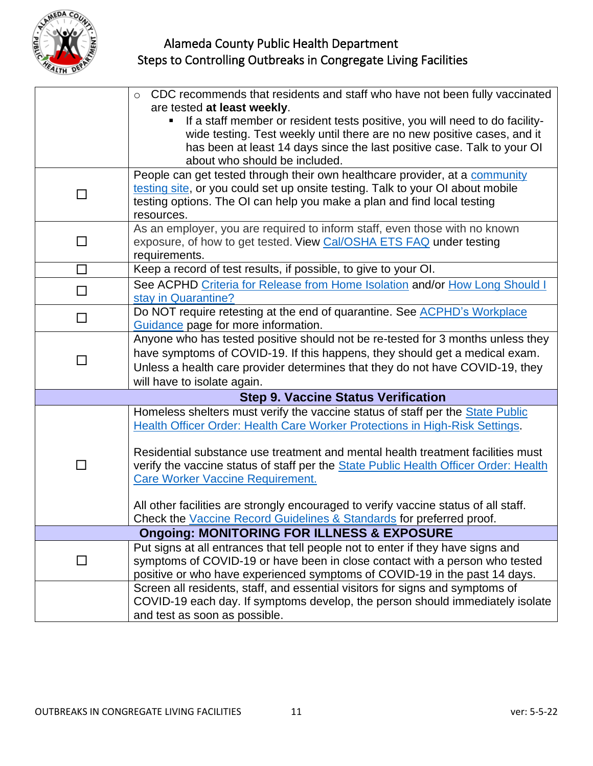

|        | CDC recommends that residents and staff who have not been fully vaccinated<br>$\circ$<br>are tested at least weekly. |
|--------|----------------------------------------------------------------------------------------------------------------------|
|        | If a staff member or resident tests positive, you will need to do facility-<br>п                                     |
|        | wide testing. Test weekly until there are no new positive cases, and it                                              |
|        | has been at least 14 days since the last positive case. Talk to your OI                                              |
|        | about who should be included.                                                                                        |
|        | People can get tested through their own healthcare provider, at a community                                          |
| $\Box$ | testing site, or you could set up onsite testing. Talk to your OI about mobile                                       |
|        | testing options. The OI can help you make a plan and find local testing                                              |
|        | resources.<br>As an employer, you are required to inform staff, even those with no known                             |
| $\Box$ | exposure, of how to get tested. View Cal/OSHA ETS FAQ under testing                                                  |
|        | requirements.                                                                                                        |
| $\Box$ | Keep a record of test results, if possible, to give to your OI.                                                      |
| $\Box$ | See ACPHD Criteria for Release from Home Isolation and/or How Long Should I                                          |
|        | stay in Quarantine?                                                                                                  |
| $\Box$ | Do NOT require retesting at the end of quarantine. See <b>ACPHD's Workplace</b>                                      |
|        | Guidance page for more information.                                                                                  |
|        | Anyone who has tested positive should not be re-tested for 3 months unless they                                      |
| $\Box$ | have symptoms of COVID-19. If this happens, they should get a medical exam.                                          |
|        | Unless a health care provider determines that they do not have COVID-19, they                                        |
|        | will have to isolate again.                                                                                          |
|        | <b>Step 9. Vaccine Status Verification</b>                                                                           |
|        | Homeless shelters must verify the vaccine status of staff per the State Public                                       |
|        | Health Officer Order: Health Care Worker Protections in High-Risk Settings.                                          |
|        | Residential substance use treatment and mental health treatment facilities must                                      |
|        | verify the vaccine status of staff per the State Public Health Officer Order: Health                                 |
|        | <b>Care Worker Vaccine Requirement.</b>                                                                              |
|        |                                                                                                                      |
|        | All other facilities are strongly encouraged to verify vaccine status of all staff.                                  |
|        | Check the Vaccine Record Guidelines & Standards for preferred proof.                                                 |
|        | <b>Ongoing: MONITORING FOR ILLNESS &amp; EXPOSURE</b>                                                                |
|        | Put signs at all entrances that tell people not to enter if they have signs and                                      |
| $\Box$ | symptoms of COVID-19 or have been in close contact with a person who tested                                          |
|        | positive or who have experienced symptoms of COVID-19 in the past 14 days.                                           |
|        | Screen all residents, staff, and essential visitors for signs and symptoms of                                        |
|        | COVID-19 each day. If symptoms develop, the person should immediately isolate                                        |
|        | and test as soon as possible.                                                                                        |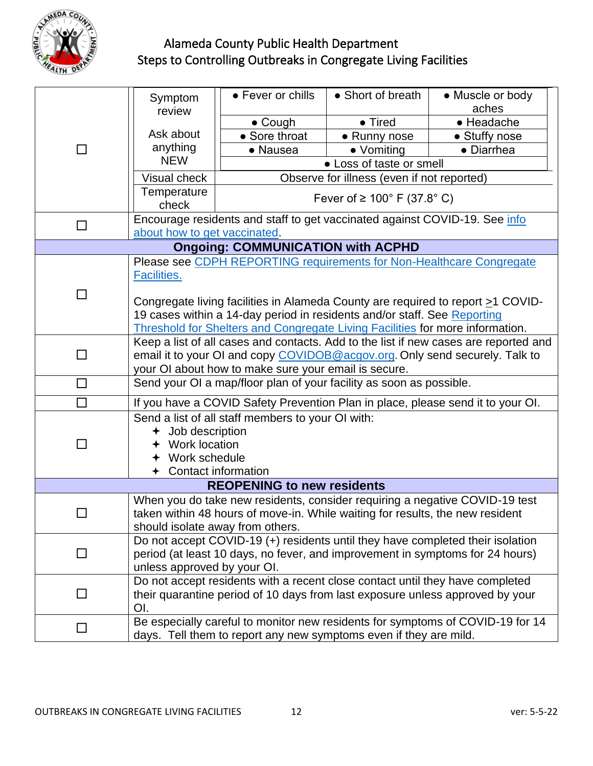

| $\Box$                                                                                                           | Symptom                                                                                                                     | • Fever or chills                                                          | • Short of breath | • Muscle or body |  |
|------------------------------------------------------------------------------------------------------------------|-----------------------------------------------------------------------------------------------------------------------------|----------------------------------------------------------------------------|-------------------|------------------|--|
|                                                                                                                  | review                                                                                                                      |                                                                            |                   | aches            |  |
|                                                                                                                  |                                                                                                                             | $\bullet$ Cough                                                            | • Tired           | • Headache       |  |
|                                                                                                                  | Ask about                                                                                                                   | • Sore throat                                                              | • Runny nose      | • Stuffy nose    |  |
|                                                                                                                  | anything                                                                                                                    | • Nausea                                                                   | • Vomiting        | • Diarrhea       |  |
|                                                                                                                  | <b>NEW</b><br>• Loss of taste or smell                                                                                      |                                                                            |                   |                  |  |
|                                                                                                                  | Visual check                                                                                                                | Observe for illness (even if not reported)                                 |                   |                  |  |
|                                                                                                                  | Temperature                                                                                                                 | Fever of ≥ 100 $\degree$ F (37.8 $\degree$ C)                              |                   |                  |  |
|                                                                                                                  | check                                                                                                                       |                                                                            |                   |                  |  |
| $\Box$                                                                                                           |                                                                                                                             | Encourage residents and staff to get vaccinated against COVID-19. See info |                   |                  |  |
|                                                                                                                  | about how to get vaccinated.                                                                                                |                                                                            |                   |                  |  |
| <b>Ongoing: COMMUNICATION with ACPHD</b>                                                                         |                                                                                                                             |                                                                            |                   |                  |  |
| П                                                                                                                | Please see CDPH REPORTING requirements for Non-Healthcare Congregate                                                        |                                                                            |                   |                  |  |
|                                                                                                                  | Facilities.                                                                                                                 |                                                                            |                   |                  |  |
|                                                                                                                  |                                                                                                                             |                                                                            |                   |                  |  |
|                                                                                                                  | Congregate living facilities in Alameda County are required to report $\geq 1$ COVID-                                       |                                                                            |                   |                  |  |
|                                                                                                                  | 19 cases within a 14-day period in residents and/or staff. See Reporting                                                    |                                                                            |                   |                  |  |
|                                                                                                                  | Threshold for Shelters and Congregate Living Facilities for more information.                                               |                                                                            |                   |                  |  |
| П                                                                                                                | Keep a list of all cases and contacts. Add to the list if new cases are reported and                                        |                                                                            |                   |                  |  |
|                                                                                                                  | email it to your OI and copy COVIDOB@acgov.org. Only send securely. Talk to                                                 |                                                                            |                   |                  |  |
| □                                                                                                                | your OI about how to make sure your email is secure.<br>Send your OI a map/floor plan of your facility as soon as possible. |                                                                            |                   |                  |  |
|                                                                                                                  |                                                                                                                             |                                                                            |                   |                  |  |
| П                                                                                                                | If you have a COVID Safety Prevention Plan in place, please send it to your OI.                                             |                                                                            |                   |                  |  |
| ┓                                                                                                                | Send a list of all staff members to your OI with:                                                                           |                                                                            |                   |                  |  |
|                                                                                                                  | $+$ Job description                                                                                                         |                                                                            |                   |                  |  |
|                                                                                                                  | + Work location                                                                                                             |                                                                            |                   |                  |  |
|                                                                                                                  | Work schedule                                                                                                               |                                                                            |                   |                  |  |
| Contact information                                                                                              |                                                                                                                             |                                                                            |                   |                  |  |
| <b>REOPENING to new residents</b><br>When you do take new residents, consider requiring a negative COVID-19 test |                                                                                                                             |                                                                            |                   |                  |  |
|                                                                                                                  |                                                                                                                             |                                                                            |                   |                  |  |
|                                                                                                                  | taken within 48 hours of move-in. While waiting for results, the new resident<br>should isolate away from others.           |                                                                            |                   |                  |  |
|                                                                                                                  | Do not accept COVID-19 (+) residents until they have completed their isolation                                              |                                                                            |                   |                  |  |
| $\Box$                                                                                                           | period (at least 10 days, no fever, and improvement in symptoms for 24 hours)                                               |                                                                            |                   |                  |  |
|                                                                                                                  | unless approved by your OI.                                                                                                 |                                                                            |                   |                  |  |
|                                                                                                                  | Do not accept residents with a recent close contact until they have completed                                               |                                                                            |                   |                  |  |
| $\Box$                                                                                                           | their quarantine period of 10 days from last exposure unless approved by your                                               |                                                                            |                   |                  |  |
|                                                                                                                  | OI.                                                                                                                         |                                                                            |                   |                  |  |
| □                                                                                                                | Be especially careful to monitor new residents for symptoms of COVID-19 for 14                                              |                                                                            |                   |                  |  |
|                                                                                                                  | days. Tell them to report any new symptoms even if they are mild.                                                           |                                                                            |                   |                  |  |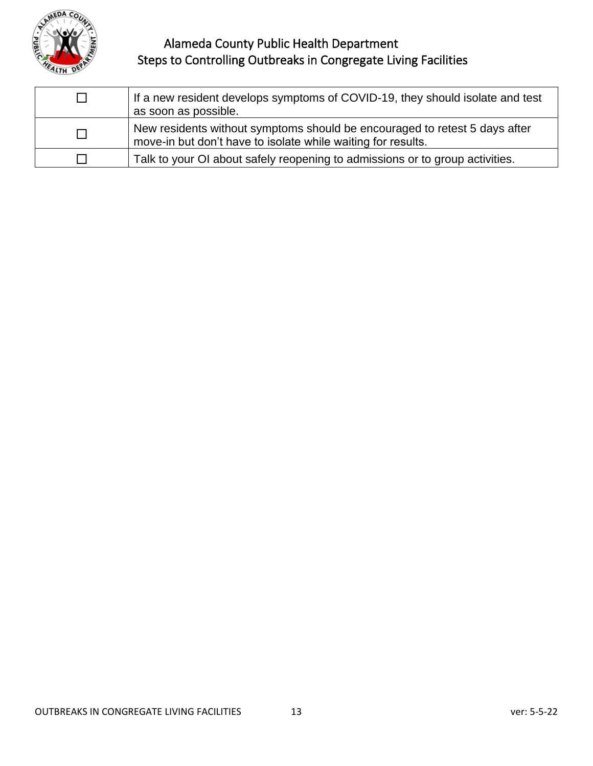

| П | If a new resident develops symptoms of COVID-19, they should isolate and test<br>as soon as possible.                                      |
|---|--------------------------------------------------------------------------------------------------------------------------------------------|
| П | New residents without symptoms should be encouraged to retest 5 days after<br>move-in but don't have to isolate while waiting for results. |
|   | Talk to your OI about safely reopening to admissions or to group activities.                                                               |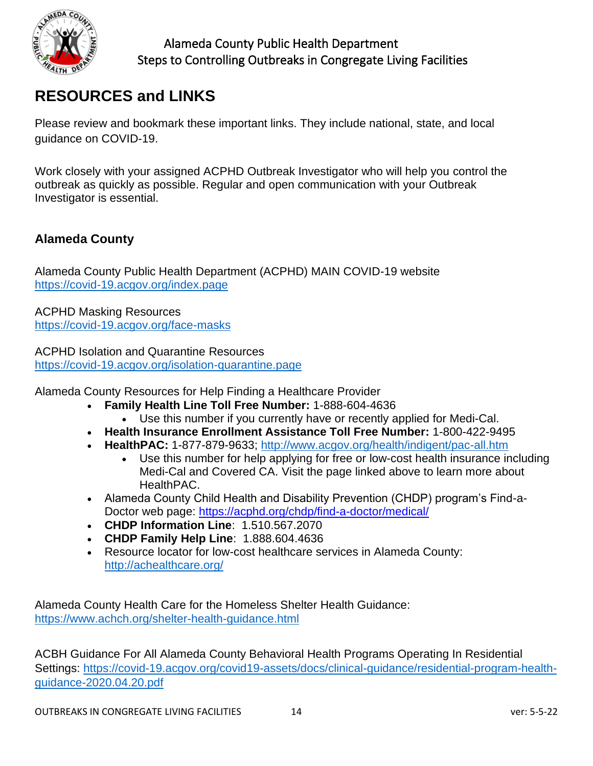

# **RESOURCES and LINKS**

Please review and bookmark these important links. They include national, state, and local guidance on COVID-19.

Work closely with your assigned ACPHD Outbreak Investigator who will help you control the outbreak as quickly as possible. Regular and open communication with your Outbreak Investigator is essential.

#### **Alameda County**

Alameda County Public Health Department (ACPHD) MAIN COVID-19 website <https://covid-19.acgov.org/index.page>

ACPHD Masking Resources <https://covid-19.acgov.org/face-masks>

ACPHD Isolation and Quarantine Resources <https://covid-19.acgov.org/isolation-quarantine.page>

Alameda County Resources for Help Finding a Healthcare Provider

- **Family Health Line Toll Free Number:** 1-888-604-4636
	- Use this number if you currently have or recently applied for Medi-Cal.
- **Health Insurance Enrollment Assistance Toll Free Number:** 1-800-422-9495
- **HealthPAC:** 1-877-879-9633;<http://www.acgov.org/health/indigent/pac-all.htm>
	- Use this number for help applying for free or low-cost health insurance including Medi-Cal and Covered CA. Visit the page linked above to learn more about HealthPAC.
- Alameda County Child Health and Disability Prevention (CHDP) program's Find-a-Doctor web page:<https://acphd.org/chdp/find-a-doctor/medical/>
- **CHDP Information Line**: 1.510.567.2070
- **CHDP Family Help Line**: 1.888.604.4636
- Resource locator for low-cost healthcare services in Alameda County: <http://achealthcare.org/>

Alameda County Health Care for the Homeless Shelter Health Guidance: <https://www.achch.org/shelter-health-guidance.html>

ACBH Guidance For All Alameda County Behavioral Health Programs Operating In Residential Settings: [https://covid-19.acgov.org/covid19-assets/docs/clinical-guidance/residential-program-health](https://covid-19.acgov.org/covid19-assets/docs/clinical-guidance/residential-program-health-guidance-2020.04.20.pdf)[guidance-2020.04.20.pdf](https://covid-19.acgov.org/covid19-assets/docs/clinical-guidance/residential-program-health-guidance-2020.04.20.pdf)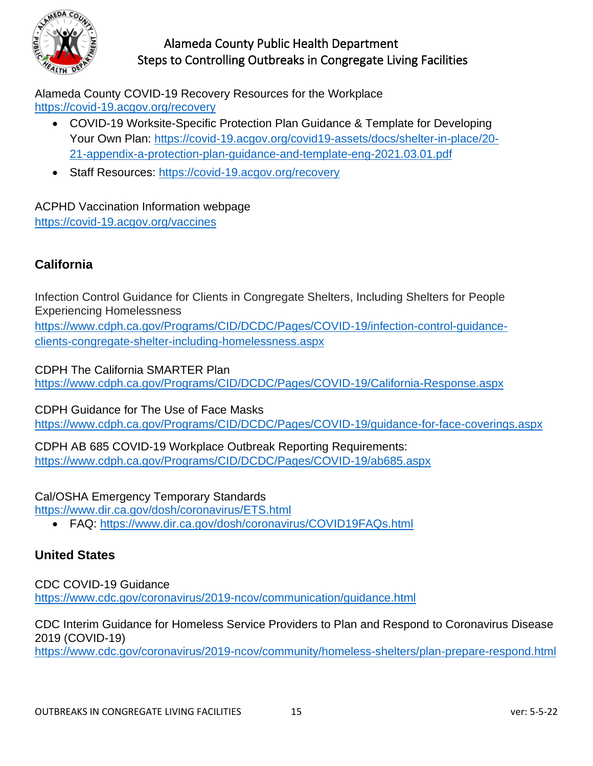

Alameda County COVID-19 Recovery Resources for the Workplace <https://covid-19.acgov.org/recovery>

- COVID-19 Worksite-Specific Protection Plan Guidance & Template for Developing Your Own Plan: [https://covid-19.acgov.org/covid19-assets/docs/shelter-in-place/20-](https://covid-19.acgov.org/covid19-assets/docs/shelter-in-place/20-21-appendix-a-protection-plan-guidance-and-template-eng-2021.03.01.pdf) [21-appendix-a-protection-plan-guidance-and-template-eng-2](https://covid-19.acgov.org/covid19-assets/docs/shelter-in-place/20-21-appendix-a-protection-plan-guidance-and-template-eng-2021.03.01.pdf)021.03.01.pdf
- Staff Resources:<https://covid-19.acgov.org/recovery>

ACPHD Vaccination Information webpage <https://covid-19.acgov.org/vaccines>

#### **California**

Infection Control Guidance for Clients in Congregate Shelters, Including Shelters for People Experiencing Homelessness [https://www.cdph.ca.gov/Programs/CID/DCDC/Pages/COVID-19/infection-control-guidance](https://www.cdph.ca.gov/Programs/CID/DCDC/Pages/COVID-19/infection-control-guidance-clients-congregate-shelter-including-homelessness.aspx)[clients-congregate-shelter-including-homelessness.aspx](https://www.cdph.ca.gov/Programs/CID/DCDC/Pages/COVID-19/infection-control-guidance-clients-congregate-shelter-including-homelessness.aspx)

CDPH The California SMARTER Plan <https://www.cdph.ca.gov/Programs/CID/DCDC/Pages/COVID-19/California-Response.aspx>

CDPH Guidance for The Use of Face Masks <https://www.cdph.ca.gov/Programs/CID/DCDC/Pages/COVID-19/guidance-for-face-coverings.aspx>

CDPH AB 685 COVID-19 Workplace Outbreak Reporting Requirements: <https://www.cdph.ca.gov/Programs/CID/DCDC/Pages/COVID-19/ab685.aspx>

Cal/OSHA Emergency Temporary Standards

<https://www.dir.ca.gov/dosh/coronavirus/ETS.html>

• FAQ:<https://www.dir.ca.gov/dosh/coronavirus/COVID19FAQs.html>

#### **United States**

CDC COVID-19 Guidance <https://www.cdc.gov/coronavirus/2019-ncov/communication/guidance.html>

CDC Interim Guidance for Homeless Service Providers to Plan and Respond to Coronavirus Disease 2019 (COVID-19)

<https://www.cdc.gov/coronavirus/2019-ncov/community/homeless-shelters/plan-prepare-respond.html>